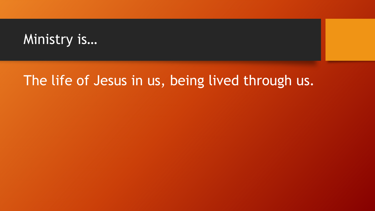### Ministry is…

### The life of Jesus in us, being lived through us.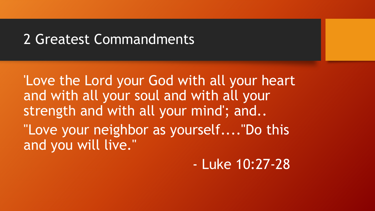#### 2 Greatest Commandments

'Love the Lord your God with all your heart and with all your soul and with all your strength and with all your mind'; and.. "Love your neighbor as yourself...."Do this and you will live."

- Luke 10:27-28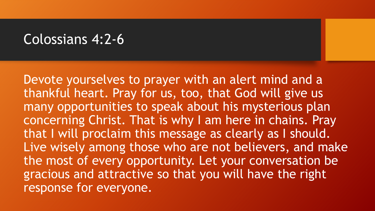#### Colossians 4:2-6

Devote yourselves to prayer with an alert mind and a thankful heart. Pray for us, too, that God will give us many opportunities to speak about his mysterious plan concerning Christ. That is why I am here in chains. Pray that I will proclaim this message as clearly as I should. Live wisely among those who are not believers, and make the most of every opportunity. Let your conversation be gracious and attractive so that you will have the right response for everyone.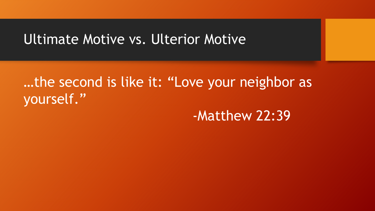#### Ultimate Motive vs. Ulterior Motive

### …the second is like it: "Love your neighbor as yourself."

-Matthew 22:39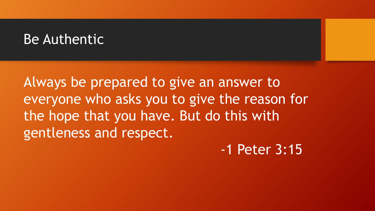#### Be Authentic

Always be prepared to give an answer to everyone who asks you to give the reason for the hope that you have. But do this with gentleness and respect.

-1 Peter 3:15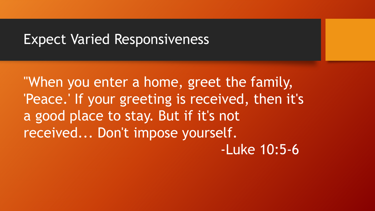#### Expect Varied Responsiveness

"When you enter a home, greet the family, 'Peace.' If your greeting is received, then it's a good place to stay. But if it's not received... Don't impose yourself. -Luke 10:5-6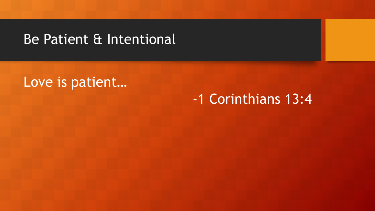#### Be Patient & Intentional

#### Love is patient...

#### -1 Corinthians 13:4